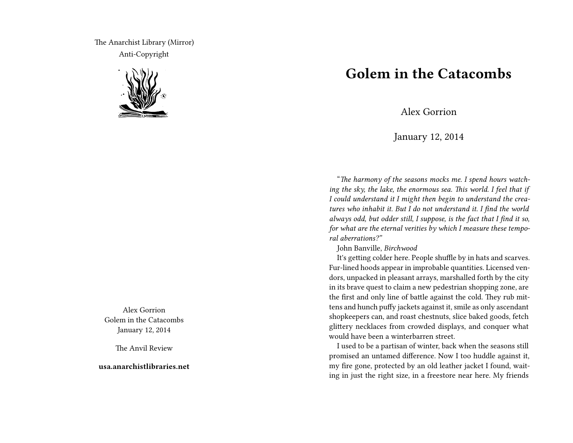The Anarchist Library (Mirror) Anti-Copyright



Alex Gorrion Golem in the Catacombs January 12, 2014

The Anvil Review

**usa.anarchistlibraries.net**

## **Golem in the Catacombs**

Alex Gorrion

January 12, 2014

"*The harmony of the seasons mocks me. I spend hours watching the sky, the lake, the enormous sea. This world. I feel that if I could understand it I might then begin to understand the creatures who inhabit it. But I do not understand it. I find the world always odd, but odder still, I suppose, is the fact that I find it so, for what are the eternal verities by which I measure these temporal aberrations?"*

John Banville, *Birchwood*

It's getting colder here. People shuffle by in hats and scarves. Fur-lined hoods appear in improbable quantities. Licensed vendors, unpacked in pleasant arrays, marshalled forth by the city in its brave quest to claim a new pedestrian shopping zone, are the first and only line of battle against the cold. They rub mittens and hunch puffy jackets against it, smile as only ascendant shopkeepers can, and roast chestnuts, slice baked goods, fetch glittery necklaces from crowded displays, and conquer what would have been a winterbarren street.

I used to be a partisan of winter, back when the seasons still promised an untamed difference. Now I too huddle against it, my fire gone, protected by an old leather jacket I found, waiting in just the right size, in a freestore near here. My friends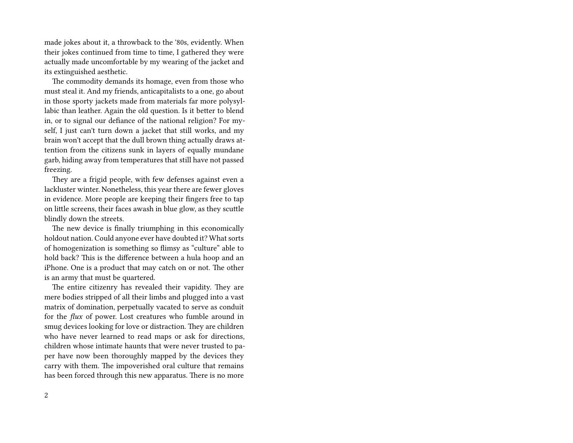made jokes about it, a throwback to the '80s, evidently. When their jokes continued from time to time, I gathered they were actually made uncomfortable by my wearing of the jacket and its extinguished aesthetic.

The commodity demands its homage, even from those who must steal it. And my friends, anticapitalists to a one, go about in those sporty jackets made from materials far more polysyllabic than leather. Again the old question. Is it better to blend in, or to signal our defiance of the national religion? For myself, I just can't turn down a jacket that still works, and my brain won't accept that the dull brown thing actually draws attention from the citizens sunk in layers of equally mundane garb, hiding away from temperatures that still have not passed freezing.

They are a frigid people, with few defenses against even a lackluster winter. Nonetheless, this year there are fewer gloves in evidence. More people are keeping their fingers free to tap on little screens, their faces awash in blue glow, as they scuttle blindly down the streets.

The new device is finally triumphing in this economically holdout nation. Could anyone ever have doubted it? What sorts of homogenization is something so flimsy as "culture" able to hold back? This is the difference between a hula hoop and an iPhone. One is a product that may catch on or not. The other is an army that must be quartered.

The entire citizenry has revealed their vapidity. They are mere bodies stripped of all their limbs and plugged into a vast matrix of domination, perpetually vacated to serve as conduit for the *flux* of power. Lost creatures who fumble around in smug devices looking for love or distraction. They are children who have never learned to read maps or ask for directions, children whose intimate haunts that were never trusted to paper have now been thoroughly mapped by the devices they carry with them. The impoverished oral culture that remains has been forced through this new apparatus. There is no more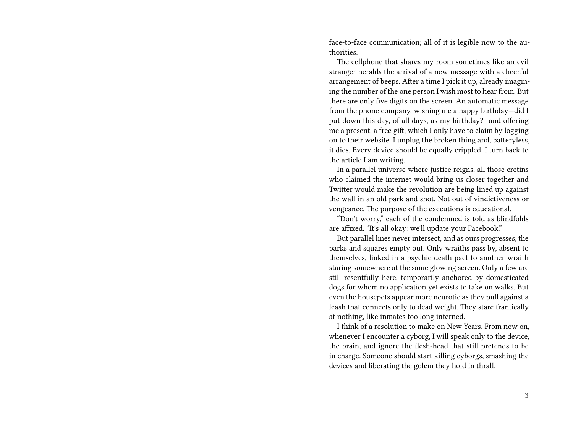face-to-face communication; all of it is legible now to the authorities.

The cellphone that shares my room sometimes like an evil stranger heralds the arrival of a new message with a cheerful arrangement of beeps. After a time I pick it up, already imagining the number of the one person I wish most to hear from. But there are only five digits on the screen. An automatic message from the phone company, wishing me a happy birthday—did I put down this day, of all days, as my birthday?—and offering me a present, a free gift, which I only have to claim by logging on to their website. I unplug the broken thing and, batteryless, it dies. Every device should be equally crippled. I turn back to the article I am writing.

In a parallel universe where justice reigns, all those cretins who claimed the internet would bring us closer together and Twitter would make the revolution are being lined up against the wall in an old park and shot. Not out of vindictiveness or vengeance. The purpose of the executions is educational.

"Don't worry," each of the condemned is told as blindfolds are affixed. "It's all okay: we'll update your Facebook."

But parallel lines never intersect, and as ours progresses, the parks and squares empty out. Only wraiths pass by, absent to themselves, linked in a psychic death pact to another wraith staring somewhere at the same glowing screen. Only a few are still resentfully here, temporarily anchored by domesticated dogs for whom no application yet exists to take on walks. But even the housepets appear more neurotic as they pull against a leash that connects only to dead weight. They stare frantically at nothing, like inmates too long interned.

I think of a resolution to make on New Years. From now on, whenever I encounter a cyborg, I will speak only to the device, the brain, and ignore the flesh-head that still pretends to be in charge. Someone should start killing cyborgs, smashing the devices and liberating the golem they hold in thrall.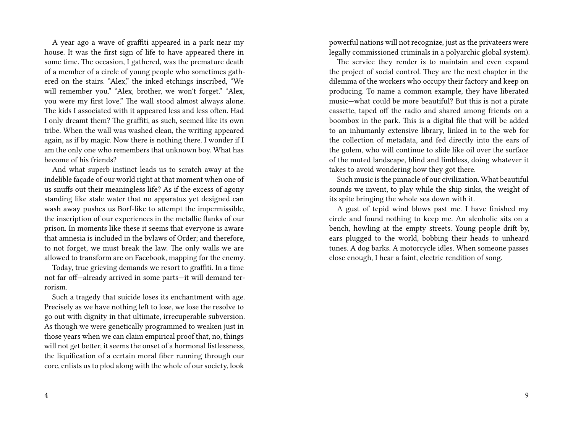A year ago a wave of graffiti appeared in a park near my house. It was the first sign of life to have appeared there in some time. The occasion, I gathered, was the premature death of a member of a circle of young people who sometimes gathered on the stairs. "Alex," the inked etchings inscribed, "We will remember you." "Alex, brother, we won't forget." "Alex, you were my first love." The wall stood almost always alone. The kids I associated with it appeared less and less often. Had I only dreamt them? The graffiti, as such, seemed like its own tribe. When the wall was washed clean, the writing appeared again, as if by magic. Now there is nothing there. I wonder if I am the only one who remembers that unknown boy. What has become of his friends?

And what superb instinct leads us to scratch away at the indelible façade of our world right at that moment when one of us snuffs out their meaningless life? As if the excess of agony standing like stale water that no apparatus yet designed can wash away pushes us Borf-like to attempt the impermissible, the inscription of our experiences in the metallic flanks of our prison. In moments like these it seems that everyone is aware that amnesia is included in the bylaws of Order; and therefore, to not forget, we must break the law. The only walls we are allowed to transform are on Facebook, mapping for the enemy.

Today, true grieving demands we resort to graffiti. In a time not far off—already arrived in some parts—it will demand terrorism.

Such a tragedy that suicide loses its enchantment with age. Precisely as we have nothing left to lose, we lose the resolve to go out with dignity in that ultimate, irrecuperable subversion. As though we were genetically programmed to weaken just in those years when we can claim empirical proof that, no, things will not get better, it seems the onset of a hormonal listlessness, the liquification of a certain moral fiber running through our core, enlists us to plod along with the whole of our society, look

4

powerful nations will not recognize, just as the privateers were legally commissioned criminals in a polyarchic global system).

The service they render is to maintain and even expand the project of social control. They are the next chapter in the dilemma of the workers who occupy their factory and keep on producing. To name a common example, they have liberated music—what could be more beautiful? But this is not a pirate cassette, taped off the radio and shared among friends on a boombox in the park. This is a digital file that will be added to an inhumanly extensive library, linked in to the web for the collection of metadata, and fed directly into the ears of the golem, who will continue to slide like oil over the surface of the muted landscape, blind and limbless, doing whatever it takes to avoid wondering how they got there.

Such music is the pinnacle of our civilization. What beautiful sounds we invent, to play while the ship sinks, the weight of its spite bringing the whole sea down with it.

A gust of tepid wind blows past me. I have finished my circle and found nothing to keep me. An alcoholic sits on a bench, howling at the empty streets. Young people drift by, ears plugged to the world, bobbing their heads to unheard tunes. A dog barks. A motorcycle idles. When someone passes close enough, I hear a faint, electric rendition of song.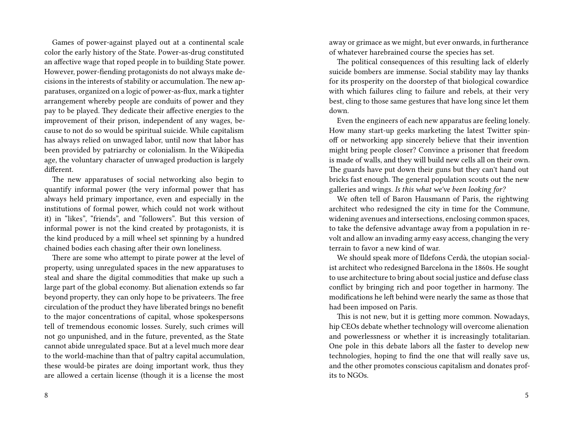Games of power-against played out at a continental scale color the early history of the State. Power-as-drug constituted an affective wage that roped people in to building State power. However, power-fiending protagonists do not always make decisions in the interests of stability or accumulation. The new apparatuses, organized on a logic of power-as-flux, mark a tighter arrangement whereby people are conduits of power and they pay to be played. They dedicate their affective energies to the improvement of their prison, independent of any wages, because to not do so would be spiritual suicide. While capitalism has always relied on unwaged labor, until now that labor has been provided by patriarchy or colonialism. In the Wikipedia age, the voluntary character of unwaged production is largely different.

The new apparatuses of social networking also begin to quantify informal power (the very informal power that has always held primary importance, even and especially in the institutions of formal power, which could not work without it) in "likes", "friends", and "followers". But this version of informal power is not the kind created by protagonists, it is the kind produced by a mill wheel set spinning by a hundred chained bodies each chasing after their own loneliness.

There are some who attempt to pirate power at the level of property, using unregulated spaces in the new apparatuses to steal and share the digital commodities that make up such a large part of the global economy. But alienation extends so far beyond property, they can only hope to be privateers. The free circulation of the product they have liberated brings no benefit to the major concentrations of capital, whose spokespersons tell of tremendous economic losses. Surely, such crimes will not go unpunished, and in the future, prevented, as the State cannot abide unregulated space. But at a level much more dear to the world-machine than that of paltry capital accumulation, these would-be pirates are doing important work, thus they are allowed a certain license (though it is a license the most

8

away or grimace as we might, but ever onwards, in furtherance of whatever harebrained course the species has set.

The political consequences of this resulting lack of elderly suicide bombers are immense. Social stability may lay thanks for its prosperity on the doorstep of that biological cowardice with which failures cling to failure and rebels, at their very best, cling to those same gestures that have long since let them down.

Even the engineers of each new apparatus are feeling lonely. How many start-up geeks marketing the latest Twitter spinoff or networking app sincerely believe that their invention might bring people closer? Convince a prisoner that freedom is made of walls, and they will build new cells all on their own. The guards have put down their guns but they can't hand out bricks fast enough. The general population scouts out the new galleries and wings. *Is this what we've been looking for?*

We often tell of Baron Hausmann of Paris, the rightwing architect who redesigned the city in time for the Commune, widening avenues and intersections, enclosing common spaces, to take the defensive advantage away from a population in revolt and allow an invading army easy access, changing the very terrain to favor a new kind of war.

We should speak more of Ildefons Cerdà, the utopian socialist architect who redesigned Barcelona in the 1860s. He sought to use architecture to bring about social justice and defuse class conflict by bringing rich and poor together in harmony. The modifications he left behind were nearly the same as those that had been imposed on Paris.

This is not new, but it is getting more common. Nowadays, hip CEOs debate whether technology will overcome alienation and powerlessness or whether it is increasingly totalitarian. One pole in this debate labors all the faster to develop new technologies, hoping to find the one that will really save us, and the other promotes conscious capitalism and donates profits to NGOs.